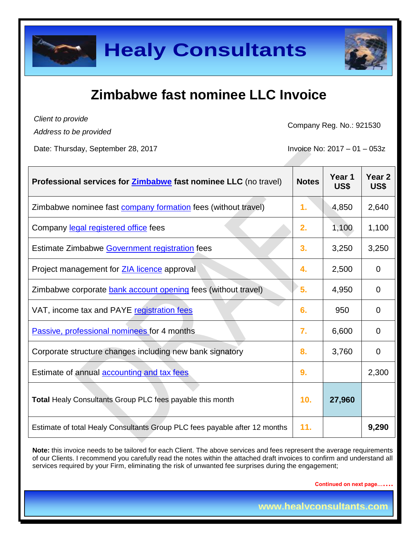# **Zimbabwe fast nominee LLC Invoice**

*Client to provide Address to be provided*

Company Reg. No.: 921530

Date: Thursday, September 28, 2017 **Invoice No: 2017** - 01 – 053z

| Professional services for <b>Zimbabwe</b> fast nominee LLC (no travel)     | <b>Notes</b>     | Year 1<br>US\$ | Year <sub>2</sub><br>US\$ |
|----------------------------------------------------------------------------|------------------|----------------|---------------------------|
| Zimbabwe nominee fast company formation fees (without travel)              | 1.               | 4,850          | 2,640                     |
| Company legal registered office fees                                       | 2.               | 1,100          | 1,100                     |
| Estimate Zimbabwe Government registration fees                             | 3.               | 3,250          | 3,250                     |
| Project management for <b>ZIA licence</b> approval                         | 4.               | 2,500          | 0                         |
| Zimbabwe corporate <b>bank account opening</b> fees (without travel)       | 5.               | 4,950          | 0                         |
| VAT, income tax and PAYE registration fees                                 | 6.               | 950            | 0                         |
| Passive, professional nominees for 4 months                                | $\overline{7}$ . | 6,600          | 0                         |
| Corporate structure changes including new bank signatory                   | 8.               | 3,760          | 0                         |
| Estimate of annual accounting and tax fees                                 | 9.               |                | 2,300                     |
| Total Healy Consultants Group PLC fees payable this month                  | 10.              | 27,960         |                           |
| Estimate of total Healy Consultants Group PLC fees payable after 12 months | 11.              |                | 9,290                     |

**Note:** this invoice needs to be tailored for each Client. The above services and fees represent the average requirements of our Clients. I recommend you carefully read the notes within the attached draft invoices to confirm and understand all services required by your Firm, eliminating the risk of unwanted fee surprises during the engagement;

**Continued on next page…….**

**www.healyconsultants.com**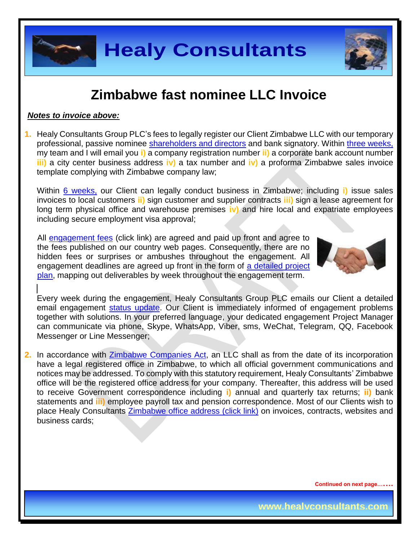

### **Zimbabwe fast nominee LLC Invoice**

#### *Notes to invoice above:*

**1.** Healy Consultants Group PLC's fees to legally register our Client Zimbabwe LLC with our temporary professional, passive nominee [shareholders and directors](http://www.healyconsultants.com/corporate-advisory-services/nominee-shareholders-directors/) and bank signatory. Within [three weeks,](http://www.healyconsultants.com/zimbabwe-company-registration/fees-timelines/#timelines) my team and I will email you **i)** a company registration number **ii)** a corporate bank account number **iii)** a city center business address **iv)** a tax number and **iv)** a proforma Zimbabwe sales invoice template complying with Zimbabwe company law;

Within [6 weeks,](http://www.healyconsultants.com/zimbabwe-company-registration/fees-timelines/#timelines) our Client can legally conduct business in Zimbabwe; including **i)** issue sales invoices to local customers **ii)** sign customer and supplier contracts **iii)** sign a lease agreement for long term physical office and warehouse premises **iv)** and hire local and expatriate employees including secure employment visa approval;

All [engagement fees](http://www.healyconsultants.com/company-registration-fees/) (click link) are agreed and paid up front and agree to the fees published on our country web pages. Consequently, there are no hidden fees or surprises or ambushes throughout the engagement. All engagement deadlines are agreed up front in the form of a detailed project [plan,](http://www.healyconsultants.com/index-important-links/example-project-plan/) mapping out deliverables by week throughout the engagement term.



Every week during the engagement, Healy Consultants Group PLC emails our Client a detailed email engagement [status update.](http://www.healyconsultants.com/index-important-links/weekly-engagement-status-email/) Our Client is immediately informed of engagement problems together with solutions. In your preferred language, your dedicated engagement Project Manager can communicate via phone, Skype, WhatsApp, Viber, sms, WeChat, Telegram, QQ, Facebook Messenger or Line Messenger;

**2.** In accordance with [Zimbabwe Companies Act,](http://www.parlzim.gov.zw/attachments/article/110/COMPANIES_ACT_24_03.pdf) an LLC shall as from the date of its incorporation have a legal registered office in Zimbabwe, to which all official government communications and notices may be addressed. To comply with this statutory requirement, Healy Consultants' Zimbabwe office will be the registered office address for your company. Thereafter, this address will be used to receive Government correspondence including **i)** annual and quarterly tax returns; **ii)** bank statements and **iii)** employee payroll tax and pension correspondence. Most of our Clients wish to place Healy Consultants [Zimbabwe office address \(click link\)](http://www.healyconsultants.com/virtual-office/) on invoices, contracts, websites and business cards;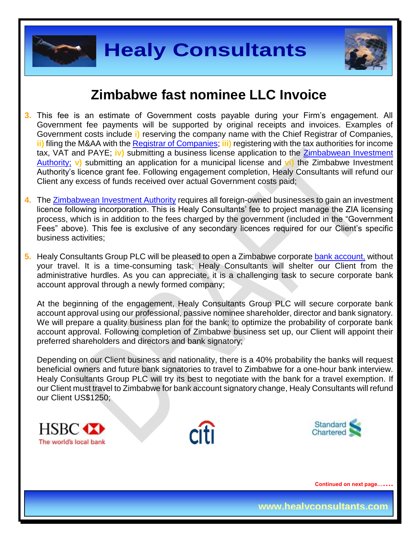



### **Zimbabwe fast nominee LLC Invoice**

- **3.** This fee is an estimate of Government costs payable during your Firm's engagement. All Government fee payments will be supported by original receipts and invoices. Examples of Government costs include **i)** reserving the company name with the Chief Registrar of Companies, **ii)** filing the M&AA with the [Registrar of Companies;](http://www.rg.gov.zw/) **iii)** registering with the tax authorities for income tax, VAT and PAYE; **iv)** submitting a business license application to the [Zimbabwean Investment](http://www.investzim.com/)  [Authority;](http://www.investzim.com/) **v)** submitting an application for a municipal license and **vi)** the Zimbabwe Investment Authority's licence grant fee. Following engagement completion, Healy Consultants will refund our Client any excess of funds received over actual Government costs paid;
- **4.** The [Zimbabwean Investment Authority](http://www.investzim.com/) requires all foreign-owned businesses to gain an investment licence following incorporation. This is Healy Consultants' fee to project manage the ZIA licensing process, which is in addition to the fees charged by the government (included in the "Government Fees" above). This fee is exclusive of any secondary licences required for our Client's specific business activities;
- **5.** Healy Consultants Group PLC will be pleased to open a Zimbabwe corporate [bank account,](http://www.healyconsultants.com/vietnam-company-registration/formation-support-services/#banking) without your travel. It is a time-consuming task; Healy Consultants will shelter our Client from the administrative hurdles. As you can appreciate, it is a challenging task to secure corporate bank account approval through a newly formed company;

At the beginning of the engagement, Healy Consultants Group PLC will secure corporate bank account approval using our professional, passive nominee shareholder, director and bank signatory. We will prepare a quality business plan for the bank; to optimize the probability of corporate bank account approval. Following completion of Zimbabwe business set up, our Client will appoint their preferred shareholders and directors and bank signatory;

Depending on our Client business and nationality, there is a 40% probability the banks will request beneficial owners and future bank signatories to travel to Zimbabwe for a one-hour bank interview. Healy Consultants Group PLC will try its best to negotiate with the bank for a travel exemption. If our Client must travel to Zimbabwe for bank account signatory change, Healy Consultants will refund our Client US\$1250;





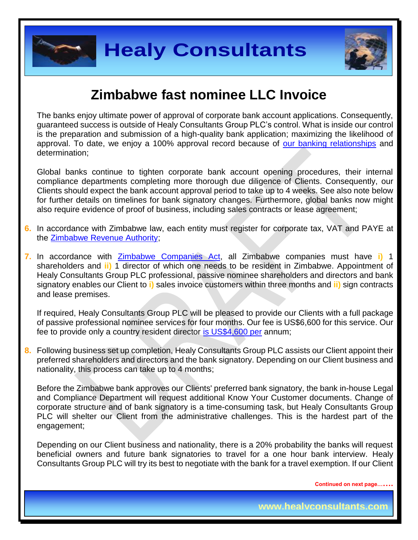



# **Zimbabwe fast nominee LLC Invoice**

The banks enjoy ultimate power of approval of corporate bank account applications. Consequently, guaranteed success is outside of Healy Consultants Group PLC's control. What is inside our control is the preparation and submission of a high-quality bank application; maximizing the likelihood of approval. To date, we enjoy a 100% approval record because of [our banking relationships](http://www.healyconsultants.com/international-banking/corporate-accounts/) and determination;

Global banks continue to tighten corporate bank account opening procedures, their internal compliance departments completing more thorough due diligence of Clients. Consequently, our Clients should expect the bank account approval period to take up to 4 weeks. See also note below for further details on timelines for bank signatory changes. Furthermore, global banks now might also require evidence of proof of business, including sales contracts or lease agreement;

- **6.** In accordance with Zimbabwe law, each entity must register for corporate tax, VAT and PAYE at the [Zimbabwe Revenue Authority;](http://www.zimra.co.zw/index.php?option=com_content&view=article&id=73&Itemid=72)
- **7.** In accordance with [Zimbabwe Companies Act,](http://www.parlzim.gov.zw/attachments/article/110/COMPANIES_ACT_24_03.pdf) all Zimbabwe companies must have **i)** 1 shareholders and **ii)** 1 director of which one needs to be resident in Zimbabwe. Appointment of Healy Consultants Group PLC professional, passive nominee shareholders and directors and bank signatory enables our Client to **i)** sales invoice customers within three months and **ii)** sign contracts and lease premises.

If required, Healy Consultants Group PLC will be pleased to provide our Clients with a full package of passive professional nominee services for four months. Our fee is US\$6,600 for this service. Our fee to provide only a country resident director [is US\\$4,600 per](http://www.healyconsultants.com/corporate-advisory-services/nominee-shareholders-directors/resident-director-services/) annum;

**8.** Following business set up completion, Healy Consultants Group PLC assists our Client appoint their preferred shareholders and directors and the bank signatory. Depending on our Client business and nationality, this process can take up to 4 months;

Before the Zimbabwe bank approves our Clients' preferred bank signatory, the bank in-house Legal and Compliance Department will request additional Know Your Customer documents. Change of corporate structure and of bank signatory is a time-consuming task, but Healy Consultants Group PLC will shelter our Client from the administrative challenges. This is the hardest part of the engagement;

Depending on our Client business and nationality, there is a 20% probability the banks will request beneficial owners and future bank signatories to travel for a one hour bank interview. Healy Consultants Group PLC will try its best to negotiate with the bank for a travel exemption. If our Client

**Continued on next page…….**

**www.healyconsultants.com**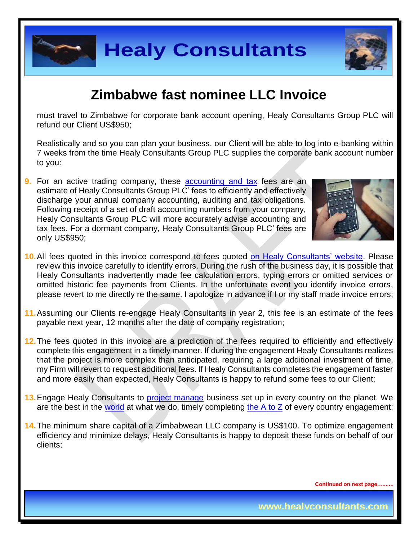



# **Zimbabwe fast nominee LLC Invoice**

must travel to Zimbabwe for corporate bank account opening, Healy Consultants Group PLC will refund our Client US\$950;

Realistically and so you can plan your business, our Client will be able to log into e-banking within 7 weeks from the time Healy Consultants Group PLC supplies the corporate bank account number to you:

**9.** For an active trading company, these [accounting and tax](http://www.healyconsultants.com/accounting-and-tax/) fees are an estimate of Healy Consultants Group PLC' fees to efficiently and effectively discharge your annual company accounting, auditing and tax obligations. Following receipt of a set of draft accounting numbers from your company, Healy Consultants Group PLC will more accurately advise accounting and tax fees. For a dormant company, Healy Consultants Group PLC' fees are only US\$950;



- **10.**All fees quoted in this invoice correspond to fees quoted [on Healy Consultants' website.](http://www.healyconsultants.com/company-registration-fees/) Please review this invoice carefully to identify errors. During the rush of the business day, it is possible that Healy Consultants inadvertently made fee calculation errors, typing errors or omitted services or omitted historic fee payments from Clients. In the unfortunate event you identify invoice errors, please revert to me directly re the same. I apologize in advance if I or my staff made invoice errors;
- **11.**Assuming our Clients re-engage Healy Consultants in year 2, this fee is an estimate of the fees payable next year, 12 months after the date of company registration;
- **12.**The fees quoted in this invoice are a prediction of the fees required to efficiently and effectively complete this engagement in a timely manner. If during the engagement Healy Consultants realizes that the project is more complex than anticipated, requiring a large additional investment of time, my Firm will revert to request additional fees. If Healy Consultants completes the engagement faster and more easily than expected, Healy Consultants is happy to refund some fees to our Client;
- **13.**Engage Healy Consultants to [project manage](http://www.healyconsultants.com/project-manage-engagements/) business set up in every country on the planet. We are the best in the [world](http://www.healyconsultants.com/best-in-the-world/) at what we do, timely completing the  $A$  to  $Z$  of every country engagement;
- **14.**The minimum share capital of a Zimbabwean LLC company is US\$100. To optimize engagement efficiency and minimize delays, Healy Consultants is happy to deposit these funds on behalf of our clients;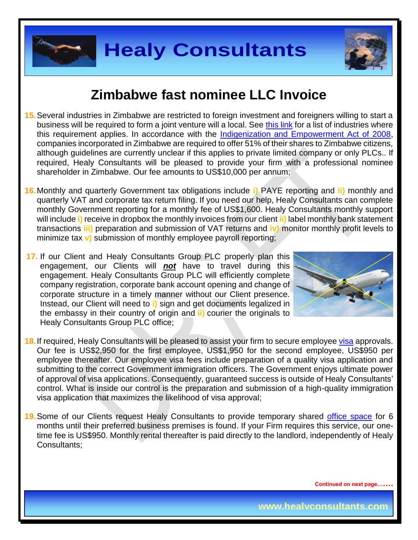



### **Zimbabwe fast nominee LLC Invoice**

- **15.**Several industries in Zimbabwe are restricted to foreign investment and foreigners willing to start a business will be required to form a joint venture will a local. See [this link](http://www.assecaa.org/images/investment_law/English/Zimbabwe_investment_gudie.pdf) for a list of industries where this requirement applies. In accordance with the [Indigenization and Empowerment Act of 2008,](http://www.loc.gov/law/foreign-news/article/zimbabwe-indigenization-and-empowerment-act/) companies incorporated in Zimbabwe are required to offer 51% of their shares to Zimbabwe citizens, although guidelines are currently unclear if this applies to private limited company or only PLCs.. If required, Healy Consultants will be pleased to provide your firm with a professional nominee shareholder in Zimbabwe. Our fee amounts to US\$10,000 per annum;
- **16.**Monthly and quarterly Government tax obligations include **i)** PAYE reporting and **ii)** monthly and quarterly VAT and corporate tax return filing. If you need our help, Healy Consultants can complete monthly Government reporting for a monthly fee of US\$1,600. Healy Consultants monthly support will include **i)** receive in dropbox the monthly invoices from our client **ii)** label monthly bank statement transactions **iii)** preparation and submission of VAT returns and **iv)** monitor monthly profit levels to minimize tax **v)** submission of monthly employee payroll reporting;
- **17.** If our Client and Healy Consultants Group PLC properly plan this engagement, our Clients will *not* have to travel during this engagement. Healy Consultants Group PLC will efficiently complete company registration, corporate bank account opening and change of corporate structure in a timely manner without our Client presence. Instead, our Client will need to **i)** sign and get documents legalized in the embassy in their country of origin and **ii)** courier the originals to Healy Consultants Group PLC office;



- **18.**If required, Healy Consultants will be pleased to assist your firm to secure employee [visa](http://www.zimimmigration.gov.zw/) approvals. Our fee is US\$2,950 for the first employee, US\$1,950 for the second employee, US\$950 per employee thereafter. Our employee visa fees include preparation of a quality visa application and submitting to the correct Government immigration officers. The Government enjoys ultimate power of approval of visa applications. Consequently, guaranteed success is outside of Healy Consultants' control. What is inside our control is the preparation and submission of a high-quality immigration visa application that maximizes the likelihood of visa approval;
- **19.**Some of our Clients request Healy Consultants to provide temporary shared [office space](http://www.healyconsultants.com/virtual-office/) for 6 months until their preferred business premises is found. If your Firm requires this service, our onetime fee is US\$950. Monthly rental thereafter is paid directly to the landlord, independently of Healy Consultants;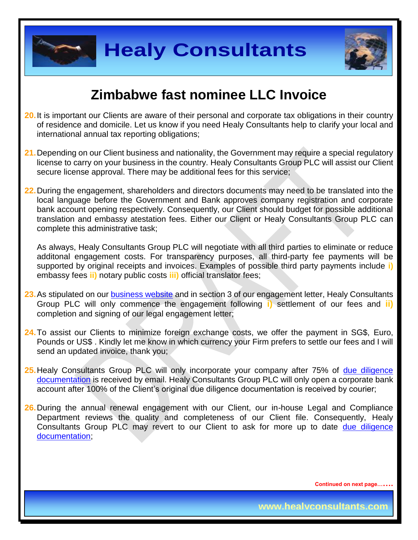



## **Zimbabwe fast nominee LLC Invoice**

- **20.**It is important our Clients are aware of their personal and corporate tax obligations in their country of residence and domicile. Let us know if you need Healy Consultants help to clarify your local and international annual tax reporting obligations;
- **21.**Depending on our Client business and nationality, the Government may require a special regulatory license to carry on your business in the country. Healy Consultants Group PLC will assist our Client secure license approval. There may be additional fees for this service;
- **22.**During the engagement, shareholders and directors documents may need to be translated into the local language before the Government and Bank approves company registration and corporate bank account opening respectively. Consequently, our Client should budget for possible additional translation and embassy atestation fees. Either our Client or Healy Consultants Group PLC can complete this administrative task;

As always, Healy Consultants Group PLC will negotiate with all third parties to eliminate or reduce additonal engagement costs. For transparency purposes, all third-party fee payments will be supported by original receipts and invoices. Examples of possible third party payments include **i)** embassy fees **ii)** notary public costs **iii)** official translator fees;

- **23.**As stipulated on our [business website](http://www.healyconsultants.com/) and in section 3 of our engagement letter, Healy Consultants Group PLC will only commence the engagement following **i)** settlement of our fees and **ii)** completion and signing of our legal engagement letter;
- **24.**To assist our Clients to minimize foreign exchange costs, we offer the payment in SG\$, Euro, Pounds or US\$ . Kindly let me know in which currency your Firm prefers to settle our fees and I will send an updated invoice, thank you;
- 25. Healy Consultants Group PLC will only incorporate your company after 75% of due diligence [documentation](http://www.healyconsultants.com/due-diligence/) is received by email. Healy Consultants Group PLC will only open a corporate bank account after 100% of the Client's original due diligence documentation is received by courier;
- **26.** During the annual renewal engagement with our Client, our in-house Legal and Compliance Department reviews the quality and completeness of our Client file. Consequently, Healy Consultants Group PLC may revert to our Client to ask for more up to date due diligence [documentation;](http://www.healyconsultants.com/due-diligence/)